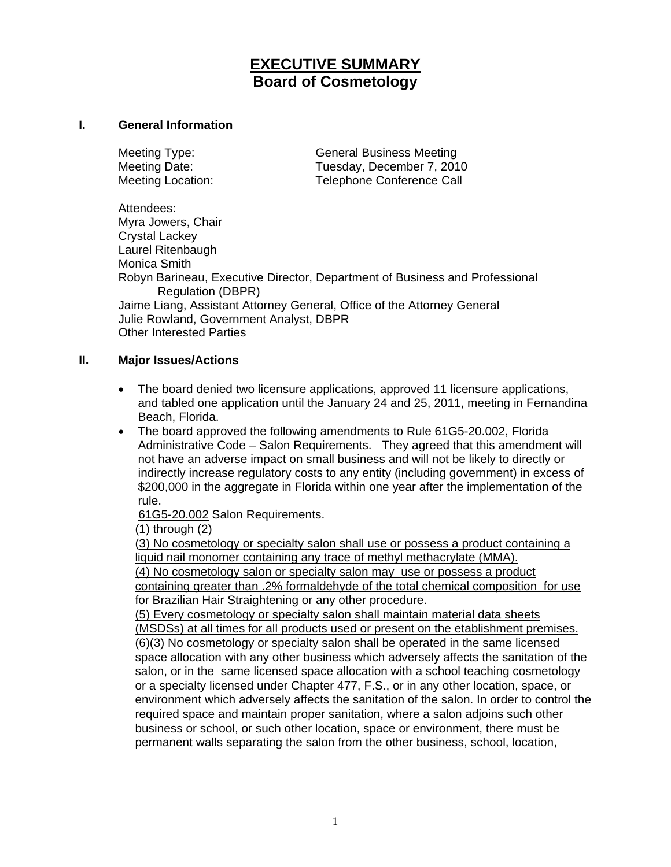# **EXECUTIVE SUMMARY Board of Cosmetology**

#### **I. General Information**

Meeting Type: General Business Meeting Meeting Date: Tuesday, December 7, 2010 Meeting Location: Telephone Conference Call

Attendees: Myra Jowers, Chair Crystal Lackey Laurel Ritenbaugh Monica Smith Robyn Barineau, Executive Director, Department of Business and Professional Regulation (DBPR) Jaime Liang, Assistant Attorney General, Office of the Attorney General Julie Rowland, Government Analyst, DBPR Other Interested Parties

### **II. Major Issues/Actions**

- The board denied two licensure applications, approved 11 licensure applications, and tabled one application until the January 24 and 25, 2011, meeting in Fernandina Beach, Florida.
- The board approved the following amendments to Rule 61G5-20.002, Florida Administrative Code – Salon Requirements. They agreed that this amendment will not have an adverse impact on small business and will not be likely to directly or indirectly increase regulatory costs to any entity (including government) in excess of \$200,000 in the aggregate in Florida within one year after the implementation of the rule.

[61G5-20.002](http://www.flrules.com/gateway/ruleNo.asp?id=61G5-20.002) Salon Requirements.

(1) through (2)

 (3) No cosmetology or specialty salon shall use or possess a product containing a liquid nail monomer containing any trace of methyl methacrylate (MMA). (4) No cosmetology salon or specialty salon may use or possess a product containing greater than .2% formaldehyde of the total chemical composition for use for Brazilian Hair Straightening or any other procedure.

 (5) Every cosmetology or specialty salon shall maintain material data sheets (MSDSs) at all times for all products used or present on the etablishment premises. (6)(3) No cosmetology or specialty salon shall be operated in the same licensed space allocation with any other business which adversely affects the sanitation of the salon, or in the same licensed space allocation with a school teaching cosmetology or a specialty licensed under Chapter 477, F.S., or in any other location, space, or environment which adversely affects the sanitation of the salon. In order to control the required space and maintain proper sanitation, where a salon adjoins such other business or school, or such other location, space or environment, there must be permanent walls separating the salon from the other business, school, location,